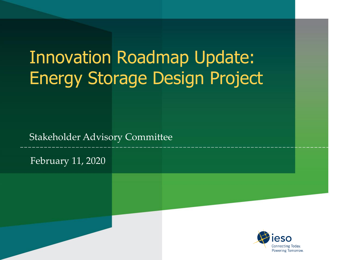# Innovation Roadmap Update: Energy Storage Design Project

Stakeholder Advisory Committee

February 11, 2020

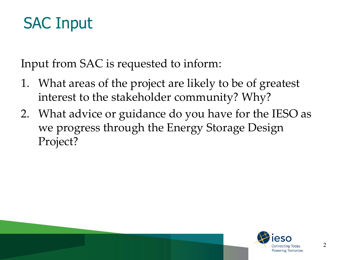### SAC Input

Input from SAC is requested to inform:

- 1. What areas of the project are likely to be of greatest interest to the stakeholder community? Why?
- 2. What advice or guidance do you have for the IESO as we progress through the Energy Storage Design Project?

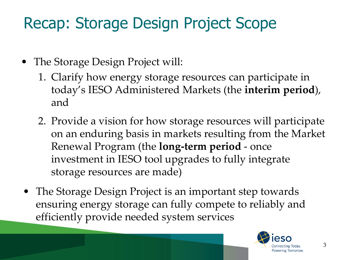### Recap: Storage Design Project Scope

- The Storage Design Project will:
	- 1. Clarify how energy storage resources can participate in today's IESO Administered Markets (the **interim period**), and
	- 2. Provide a vision for how storage resources will participate on an enduring basis in markets resulting from the Market Renewal Program (the **long-term period** - once investment in IESO tool upgrades to fully integrate storage resources are made)
- The Storage Design Project is an important step towards ensuring energy storage can fully compete to reliably and efficiently provide needed system services

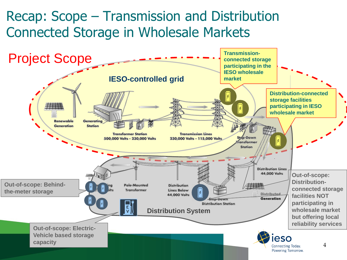### Recap: Scope – Transmission and Distribution Connected Storage in Wholesale Markets

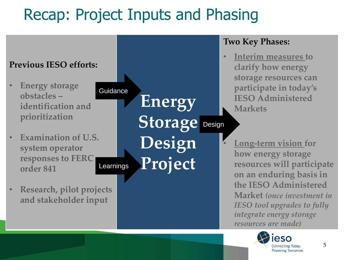# Recap: Project Inputs and Phasing



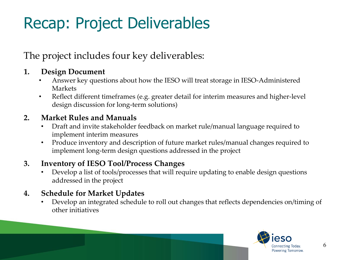# Recap: Project Deliverables

The project includes four key deliverables:

#### **1. Design Document**

- Answer key questions about how the IESO will treat storage in IESO-Administered Markets
- Reflect different timeframes (e.g. greater detail for interim measures and higher-level design discussion for long-term solutions)

#### **2. Market Rules and Manuals**

- Draft and invite stakeholder feedback on market rule/manual language required to implement interim measures
- Produce inventory and description of future market rules/manual changes required to implement long-term design questions addressed in the project

#### **3. Inventory of IESO Tool/Process Changes**

• Develop a list of tools/processes that will require updating to enable design questions addressed in the project

#### **4. Schedule for Market Updates**

• Develop an integrated schedule to roll out changes that reflects dependencies on/timing of other initiatives

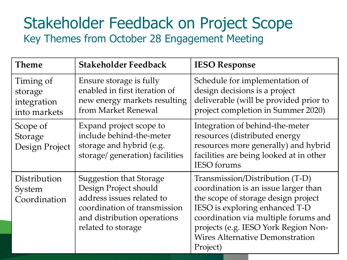### Stakeholder Feedback on Project Scope Key Themes from October 28 Engagement Meeting

| <b>Theme</b>                                        | <b>Stakeholder Feedback</b>                                                                                                                                               | <b>IESO Response</b>                                                                                                                                                                                                                                                                   |
|-----------------------------------------------------|---------------------------------------------------------------------------------------------------------------------------------------------------------------------------|----------------------------------------------------------------------------------------------------------------------------------------------------------------------------------------------------------------------------------------------------------------------------------------|
| Timing of<br>storage<br>integration<br>into markets | Ensure storage is fully<br>enabled in first iteration of<br>new energy markets resulting<br>from Market Renewal                                                           | Schedule for implementation of<br>design decisions is a project<br>deliverable (will be provided prior to<br>project completion in Summer 2020)                                                                                                                                        |
| Scope of<br>Storage<br>Design Project               | Expand project scope to<br>include behind-the-meter<br>storage and hybrid (e.g.<br>storage/ generation) facilities                                                        | Integration of behind-the-meter<br>resources (distributed energy<br>resources more generally) and hybrid<br>facilities are being looked at in other<br><b>IESO</b> forums                                                                                                              |
| Distribution<br>System<br>Coordination              | <b>Suggestion that Storage</b><br>Design Project should<br>address issues related to<br>coordination of transmission<br>and distribution operations<br>related to storage | Transmission/Distribution (T-D)<br>coordination is an issue larger than<br>the scope of storage design project<br>IESO is exploring enhanced T-D<br>coordination via multiple forums and<br>projects (e.g. IESO York Region Non-<br><b>Wires Alternative Demonstration</b><br>Project) |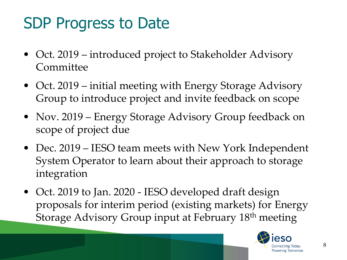## SDP Progress to Date

- Oct. 2019 introduced project to Stakeholder Advisory Committee
- Oct. 2019 initial meeting with Energy Storage Advisory Group to introduce project and invite feedback on scope
- Nov. 2019 Energy Storage Advisory Group feedback on scope of project due
- Dec. 2019 IESO team meets with New York Independent System Operator to learn about their approach to storage integration
- Oct. 2019 to Jan. 2020 IESO developed draft design proposals for interim period (existing markets) for Energy Storage Advisory Group input at February 18th meeting

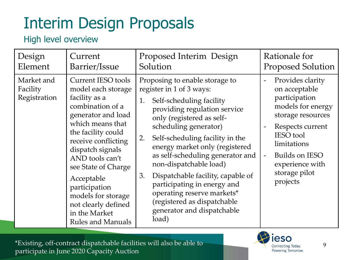#### High level overview

| Design                                 | Current                                                                                                                                                                                                                                                                                                                                                            | Proposed Interim Design                                                                                                                                                                                                                                                                                                                                                                                                                                                                                   | Rationale for                                                                                                                                                                                                                                                                                   |
|----------------------------------------|--------------------------------------------------------------------------------------------------------------------------------------------------------------------------------------------------------------------------------------------------------------------------------------------------------------------------------------------------------------------|-----------------------------------------------------------------------------------------------------------------------------------------------------------------------------------------------------------------------------------------------------------------------------------------------------------------------------------------------------------------------------------------------------------------------------------------------------------------------------------------------------------|-------------------------------------------------------------------------------------------------------------------------------------------------------------------------------------------------------------------------------------------------------------------------------------------------|
| Element                                | Barrier/Issue                                                                                                                                                                                                                                                                                                                                                      | Solution                                                                                                                                                                                                                                                                                                                                                                                                                                                                                                  | <b>Proposed Solution</b>                                                                                                                                                                                                                                                                        |
| Market and<br>Facility<br>Registration | <b>Current IESO tools</b><br>model each storage<br>facility as a<br>combination of a<br>generator and load<br>which means that<br>the facility could<br>receive conflicting<br>dispatch signals<br>AND tools can't<br>see State of Charge<br>Acceptable<br>participation<br>models for storage<br>not clearly defined<br>in the Market<br><b>Rules and Manuals</b> | Proposing to enable storage to<br>register in 1 of 3 ways:<br>Self-scheduling facility<br>1.<br>providing regulation service<br>only (registered as self-<br>scheduling generator)<br>Self-scheduling facility in the<br>2.<br>energy market only (registered<br>as self-scheduling generator and<br>non-dispatchable load)<br>Dispatchable facility, capable of<br>3.<br>participating in energy and<br>operating reserve markets*<br>(registered as dispatchable<br>generator and dispatchable<br>load) | Provides clarity<br>$\overline{\phantom{a}}$<br>on acceptable<br>participation<br>models for energy<br>storage resources<br>Respects current<br>$\overline{\phantom{a}}$<br><b>IESO</b> tool<br>limitations<br>Builds on IESO<br>$\blacksquare$<br>experience with<br>storage pilot<br>projects |

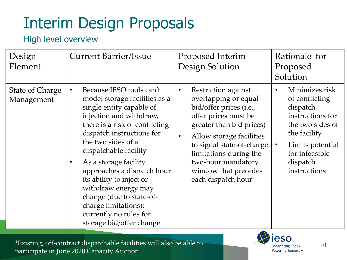#### High level overview

| Design<br>Element                    | <b>Current Barrier/Issue</b>                                                                                                                                                                                                                                                                                                                                                                                                                                                 | Proposed Interim<br>Design Solution                                                                                                                                                                                                                                                                         | Rationale for<br>Proposed<br>Solution                                                                                                                                               |
|--------------------------------------|------------------------------------------------------------------------------------------------------------------------------------------------------------------------------------------------------------------------------------------------------------------------------------------------------------------------------------------------------------------------------------------------------------------------------------------------------------------------------|-------------------------------------------------------------------------------------------------------------------------------------------------------------------------------------------------------------------------------------------------------------------------------------------------------------|-------------------------------------------------------------------------------------------------------------------------------------------------------------------------------------|
| <b>State of Charge</b><br>Management | Because IESO tools can't<br>$\bullet$<br>model storage facilities as a<br>single entity capable of<br>injection and withdraw,<br>there is a risk of conflicting<br>dispatch instructions for<br>the two sides of a<br>dispatchable facility<br>As a storage facility<br>$\bullet$<br>approaches a dispatch hour<br>its ability to inject or<br>withdraw energy may<br>change (due to state-of-<br>charge limitations);<br>currently no rules for<br>storage bid/offer change | Restriction against<br>$\bullet$<br>overlapping or equal<br>bid/offer prices (i.e.,<br>offer prices must be<br>greater than bid prices)<br>Allow storage facilities<br>$\bullet$<br>to signal state-of-charge<br>limitations during the<br>two-hour mandatory<br>window that precedes<br>each dispatch hour | Minimizes risk<br>of conflicting<br>dispatch<br>instructions for<br>the two sides of<br>the facility<br>Limits potential<br>$\bullet$<br>for infeasible<br>dispatch<br>instructions |



10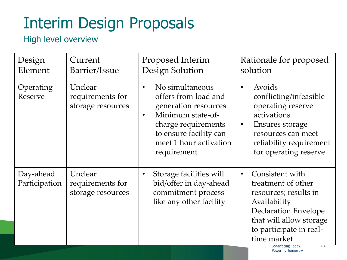### High level overview

| Design<br>Element          | Current<br>Barrier/Issue                         | Proposed Interim<br>Design Solution                                                                                                                                                                      | Rationale for proposed<br>solution                                                                                                                                                              |
|----------------------------|--------------------------------------------------|----------------------------------------------------------------------------------------------------------------------------------------------------------------------------------------------------------|-------------------------------------------------------------------------------------------------------------------------------------------------------------------------------------------------|
| Operating<br>Reserve       | Unclear<br>requirements for<br>storage resources | No simultaneous<br>$\bullet$<br>offers from load and<br>generation resources<br>Minimum state-of-<br>$\bullet$<br>charge requirements<br>to ensure facility can<br>meet 1 hour activation<br>requirement | Avoids<br>$\bullet$<br>conflicting/infeasible<br>operating reserve<br>activations<br>Ensures storage<br>$\bullet$<br>resources can meet<br>reliability requirement<br>for operating reserve     |
| Day-ahead<br>Participation | Unclear<br>requirements for<br>storage resources | Storage facilities will<br>bid/offer in day-ahead<br>commitment process<br>like any other facility                                                                                                       | Consistent with<br>$\bullet$<br>treatment of other<br>resources; results in<br>Availability<br><b>Declaration Envelope</b><br>that will allow storage<br>to participate in real-<br>time market |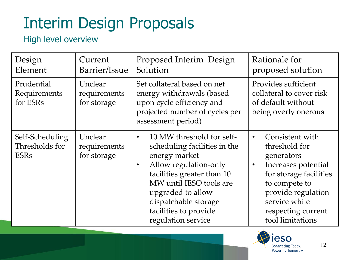### High level overview

| Design<br>Element                                | Current<br>Barrier/Issue               | Proposed Interim Design<br>Solution                                                                                                                                                                                                                                                | Rationale for<br>proposed solution                                                                                                                                                                                          |
|--------------------------------------------------|----------------------------------------|------------------------------------------------------------------------------------------------------------------------------------------------------------------------------------------------------------------------------------------------------------------------------------|-----------------------------------------------------------------------------------------------------------------------------------------------------------------------------------------------------------------------------|
| Prudential<br>Requirements<br>for ESRs           | Unclear<br>requirements<br>for storage | Set collateral based on net<br>energy withdrawals (based<br>upon cycle efficiency and<br>projected number of cycles per<br>assessment period)                                                                                                                                      | Provides sufficient<br>collateral to cover risk<br>of default without<br>being overly onerous                                                                                                                               |
| Self-Scheduling<br>Thresholds for<br><b>ESRs</b> | Unclear<br>requirements<br>for storage | 10 MW threshold for self-<br>$\bullet$<br>scheduling facilities in the<br>energy market<br>Allow regulation-only<br>$\bullet$<br>facilities greater than 10<br>MW until IESO tools are<br>upgraded to allow<br>dispatchable storage<br>facilities to provide<br>regulation service | Consistent with<br>$\bullet$<br>threshold for<br>generators<br>Increases potential<br>$\bullet$<br>for storage facilities<br>to compete to<br>provide regulation<br>service while<br>respecting current<br>tool limitations |

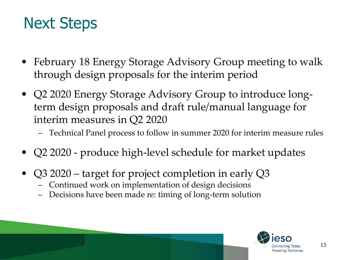### Next Steps

- February 18 Energy Storage Advisory Group meeting to walk through design proposals for the interim period
- Q2 2020 Energy Storage Advisory Group to introduce longterm design proposals and draft rule/manual language for interim measures in Q2 2020
	- Technical Panel process to follow in summer 2020 for interim measure rules
- Q2 2020 produce high-level schedule for market updates
- Q3 2020 target for project completion in early Q3
	- Continued work on implementation of design decisions
	- Decisions have been made re: timing of long-term solution